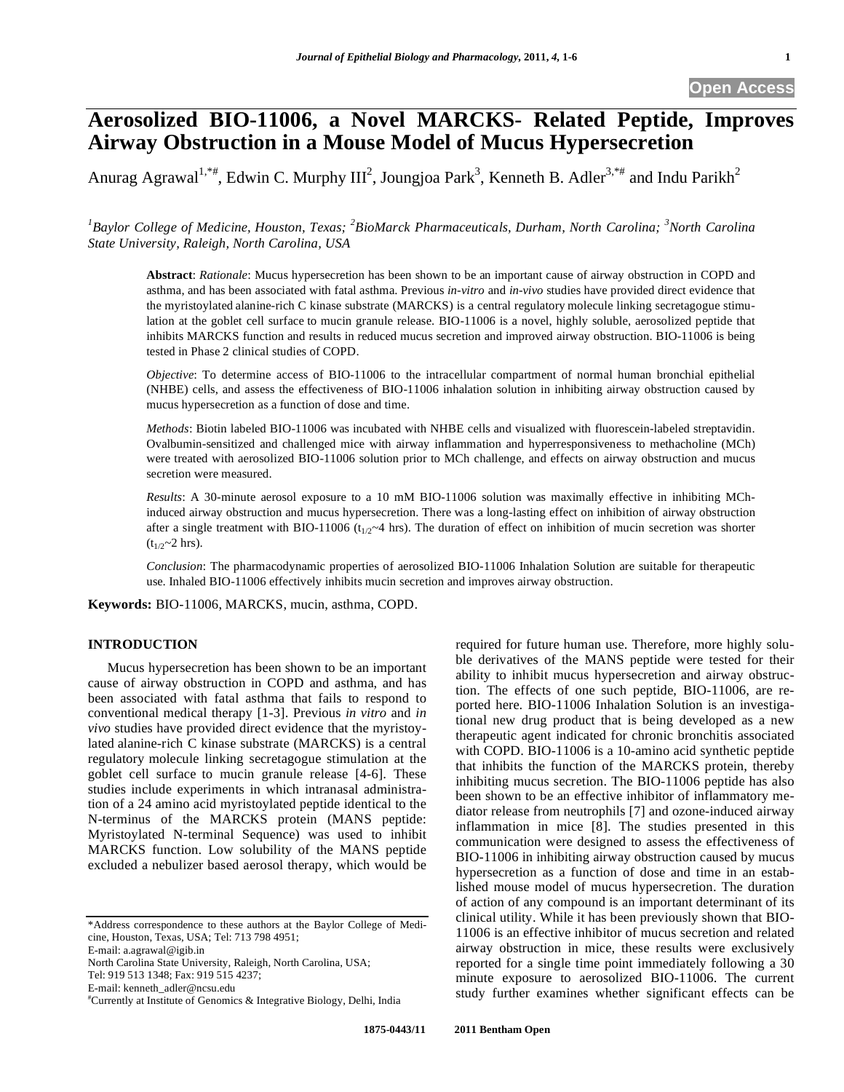# **Aerosolized BIO-11006, a Novel MARCKS- Related Peptide, Improves Airway Obstruction in a Mouse Model of Mucus Hypersecretion**

Anurag Agrawal<sup>1,\*#</sup>, Edwin C. Murphy III<sup>2</sup>, Joungjoa Park<sup>3</sup>, Kenneth B. Adler<sup>3,\*#</sup> and Indu Parikh<sup>2</sup>

# *1 Baylor College of Medicine, Houston, Texas; <sup>2</sup> BioMarck Pharmaceuticals, Durham, North Carolina; <sup>3</sup> North Carolina State University, Raleigh, North Carolina, USA*

**Abstract**: *Rationale*: Mucus hypersecretion has been shown to be an important cause of airway obstruction in COPD and asthma, and has been associated with fatal asthma. Previous *in-vitro* and *in-vivo* studies have provided direct evidence that the myristoylated alanine-rich C kinase substrate (MARCKS) is a central regulatory molecule linking secretagogue stimulation at the goblet cell surface to mucin granule release. BIO-11006 is a novel, highly soluble, aerosolized peptide that inhibits MARCKS function and results in reduced mucus secretion and improved airway obstruction. BIO-11006 is being tested in Phase 2 clinical studies of COPD.

*Objective*: To determine access of BIO-11006 to the intracellular compartment of normal human bronchial epithelial (NHBE) cells, and assess the effectiveness of BIO-11006 inhalation solution in inhibiting airway obstruction caused by mucus hypersecretion as a function of dose and time.

*Methods*: Biotin labeled BIO-11006 was incubated with NHBE cells and visualized with fluorescein-labeled streptavidin. Ovalbumin-sensitized and challenged mice with airway inflammation and hyperresponsiveness to methacholine (MCh) were treated with aerosolized BIO-11006 solution prior to MCh challenge, and effects on airway obstruction and mucus secretion were measured.

*Results*: A 30-minute aerosol exposure to a 10 mM BIO-11006 solution was maximally effective in inhibiting MChinduced airway obstruction and mucus hypersecretion. There was a long-lasting effect on inhibition of airway obstruction after a single treatment with BIO-11006 (t<sub>1/2</sub>~4 hrs). The duration of effect on inhibition of mucin secretion was shorter  $(t_{1/2}$ ~2 hrs).

*Conclusion*: The pharmacodynamic properties of aerosolized BIO-11006 Inhalation Solution are suitable for therapeutic use. Inhaled BIO-11006 effectively inhibits mucin secretion and improves airway obstruction.

**Keywords:** BIO-11006, MARCKS, mucin, asthma, COPD.

# **INTRODUCTION**

Mucus hypersecretion has been shown to be an important cause of airway obstruction in COPD and asthma, and has been associated with fatal asthma that fails to respond to conventional medical therapy [1-3]. Previous *in vitro* and *in vivo* studies have provided direct evidence that the myristoylated alanine-rich C kinase substrate (MARCKS) is a central regulatory molecule linking secretagogue stimulation at the goblet cell surface to mucin granule release [4-6]. These studies include experiments in which intranasal administration of a 24 amino acid myristoylated peptide identical to the N-terminus of the MARCKS protein (MANS peptide: Myristoylated N-terminal Sequence) was used to inhibit MARCKS function. Low solubility of the MANS peptide excluded a nebulizer based aerosol therapy, which would be

\*Address correspondence to these authors at the Baylor College of Medicine, Houston, Texas, USA; Tel: 713 798 4951;

E-mail: a.agrawal@igib.in

North Carolina State University, Raleigh, North Carolina, USA;

Tel: 919 513 1348; Fax: 919 515 4237;

required for future human use. Therefore, more highly soluble derivatives of the MANS peptide were tested for their ability to inhibit mucus hypersecretion and airway obstruction. The effects of one such peptide, BIO-11006, are reported here. BIO-11006 Inhalation Solution is an investigational new drug product that is being developed as a new therapeutic agent indicated for chronic bronchitis associated with COPD. BIO-11006 is a 10-amino acid synthetic peptide that inhibits the function of the MARCKS protein, thereby inhibiting mucus secretion. The BIO-11006 peptide has also been shown to be an effective inhibitor of inflammatory mediator release from neutrophils [7] and ozone-induced airway inflammation in mice [8]. The studies presented in this communication were designed to assess the effectiveness of BIO-11006 in inhibiting airway obstruction caused by mucus hypersecretion as a function of dose and time in an established mouse model of mucus hypersecretion. The duration of action of any compound is an important determinant of its clinical utility. While it has been previously shown that BIO-11006 is an effective inhibitor of mucus secretion and related airway obstruction in mice, these results were exclusively reported for a single time point immediately following a 30 minute exposure to aerosolized BIO-11006. The current study further examines whether significant effects can be

E-mail: kenneth\_adler@ncsu.edu

<sup>#</sup> Currently at Institute of Genomics & Integrative Biology, Delhi, India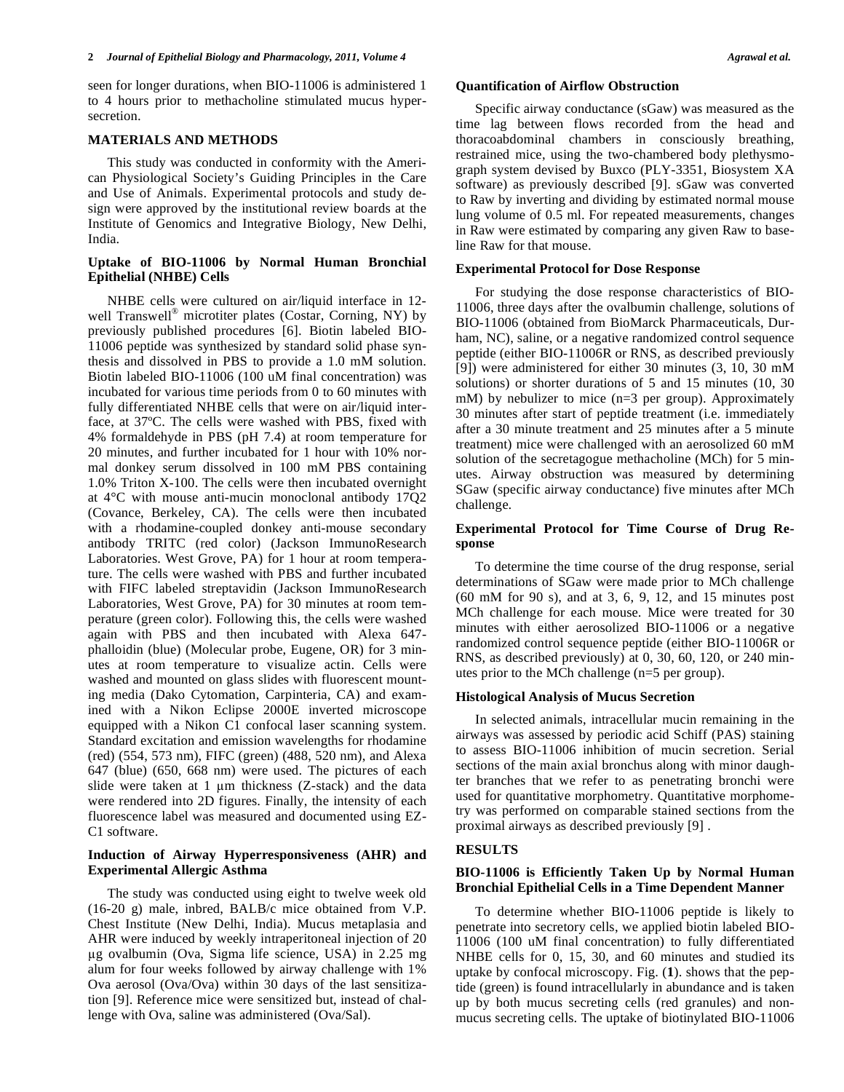seen for longer durations, when BIO-11006 is administered 1 to 4 hours prior to methacholine stimulated mucus hypersecretion.

### **MATERIALS AND METHODS**

This study was conducted in conformity with the American Physiological Society's Guiding Principles in the Care and Use of Animals. Experimental protocols and study design were approved by the institutional review boards at the Institute of Genomics and Integrative Biology, New Delhi, India.

## **Uptake of BIO-11006 by Normal Human Bronchial Epithelial (NHBE) Cells**

NHBE cells were cultured on air/liquid interface in 12 well Transwell<sup>®</sup> microtiter plates (Costar, Corning, NY) by previously published procedures [6]. Biotin labeled BIO-11006 peptide was synthesized by standard solid phase synthesis and dissolved in PBS to provide a 1.0 mM solution. Biotin labeled BIO-11006 (100 uM final concentration) was incubated for various time periods from 0 to 60 minutes with fully differentiated NHBE cells that were on air/liquid interface, at 37ºC. The cells were washed with PBS, fixed with 4% formaldehyde in PBS (pH 7.4) at room temperature for 20 minutes, and further incubated for 1 hour with 10% normal donkey serum dissolved in 100 mM PBS containing 1.0% Triton X-100. The cells were then incubated overnight at 4°C with mouse anti-mucin monoclonal antibody 17Q2 (Covance, Berkeley, CA). The cells were then incubated with a rhodamine-coupled donkey anti-mouse secondary antibody TRITC (red color) (Jackson ImmunoResearch Laboratories. West Grove, PA) for 1 hour at room temperature. The cells were washed with PBS and further incubated with FIFC labeled streptavidin (Jackson ImmunoResearch Laboratories, West Grove, PA) for 30 minutes at room temperature (green color). Following this, the cells were washed again with PBS and then incubated with Alexa 647 phalloidin (blue) (Molecular probe, Eugene, OR) for 3 minutes at room temperature to visualize actin. Cells were washed and mounted on glass slides with fluorescent mounting media (Dako Cytomation, Carpinteria, CA) and examined with a Nikon Eclipse 2000E inverted microscope equipped with a Nikon C1 confocal laser scanning system. Standard excitation and emission wavelengths for rhodamine (red) (554, 573 nm), FIFC (green) (488, 520 nm), and Alexa 647 (blue) (650, 668 nm) were used. The pictures of each slide were taken at 1  $\mu$ m thickness (Z-stack) and the data were rendered into 2D figures. Finally, the intensity of each fluorescence label was measured and documented using EZ-C1 software.

## **Induction of Airway Hyperresponsiveness (AHR) and Experimental Allergic Asthma**

The study was conducted using eight to twelve week old (16-20 g) male, inbred, BALB/c mice obtained from V.P. Chest Institute (New Delhi, India). Mucus metaplasia and AHR were induced by weekly intraperitoneal injection of 20 g ovalbumin (Ova, Sigma life science, USA) in 2.25 mg alum for four weeks followed by airway challenge with 1% Ova aerosol (Ova/Ova) within 30 days of the last sensitization [9]. Reference mice were sensitized but, instead of challenge with Ova, saline was administered (Ova/Sal).

#### **Quantification of Airflow Obstruction**

Specific airway conductance (sGaw) was measured as the time lag between flows recorded from the head and thoracoabdominal chambers in consciously breathing, restrained mice, using the two-chambered body plethysmograph system devised by Buxco (PLY-3351, Biosystem XA software) as previously described [9]. sGaw was converted to Raw by inverting and dividing by estimated normal mouse lung volume of 0.5 ml. For repeated measurements, changes in Raw were estimated by comparing any given Raw to baseline Raw for that mouse.

#### **Experimental Protocol for Dose Response**

For studying the dose response characteristics of BIO-11006, three days after the ovalbumin challenge, solutions of BIO-11006 (obtained from BioMarck Pharmaceuticals, Durham, NC), saline, or a negative randomized control sequence peptide (either BIO-11006R or RNS, as described previously [9]) were administered for either 30 minutes (3, 10, 30 mM solutions) or shorter durations of 5 and 15 minutes (10, 30 mM) by nebulizer to mice (n=3 per group). Approximately 30 minutes after start of peptide treatment (i.e. immediately after a 30 minute treatment and 25 minutes after a 5 minute treatment) mice were challenged with an aerosolized 60 mM solution of the secretagogue methacholine (MCh) for 5 minutes. Airway obstruction was measured by determining SGaw (specific airway conductance) five minutes after MCh challenge.

## **Experimental Protocol for Time Course of Drug Response**

To determine the time course of the drug response, serial determinations of SGaw were made prior to MCh challenge (60 mM for 90 s), and at 3, 6, 9, 12, and 15 minutes post MCh challenge for each mouse. Mice were treated for 30 minutes with either aerosolized BIO-11006 or a negative randomized control sequence peptide (either BIO-11006R or RNS, as described previously) at 0, 30, 60, 120, or 240 minutes prior to the MCh challenge (n=5 per group).

## **Histological Analysis of Mucus Secretion**

In selected animals, intracellular mucin remaining in the airways was assessed by periodic acid Schiff (PAS) staining to assess BIO-11006 inhibition of mucin secretion. Serial sections of the main axial bronchus along with minor daughter branches that we refer to as penetrating bronchi were used for quantitative morphometry. Quantitative morphometry was performed on comparable stained sections from the proximal airways as described previously [9] .

# **RESULTS**

## **BIO-11006 is Efficiently Taken Up by Normal Human Bronchial Epithelial Cells in a Time Dependent Manner**

To determine whether BIO-11006 peptide is likely to penetrate into secretory cells, we applied biotin labeled BIO-11006 (100 uM final concentration) to fully differentiated NHBE cells for 0, 15, 30, and 60 minutes and studied its uptake by confocal microscopy. Fig. (**1**). shows that the peptide (green) is found intracellularly in abundance and is taken up by both mucus secreting cells (red granules) and nonmucus secreting cells. The uptake of biotinylated BIO-11006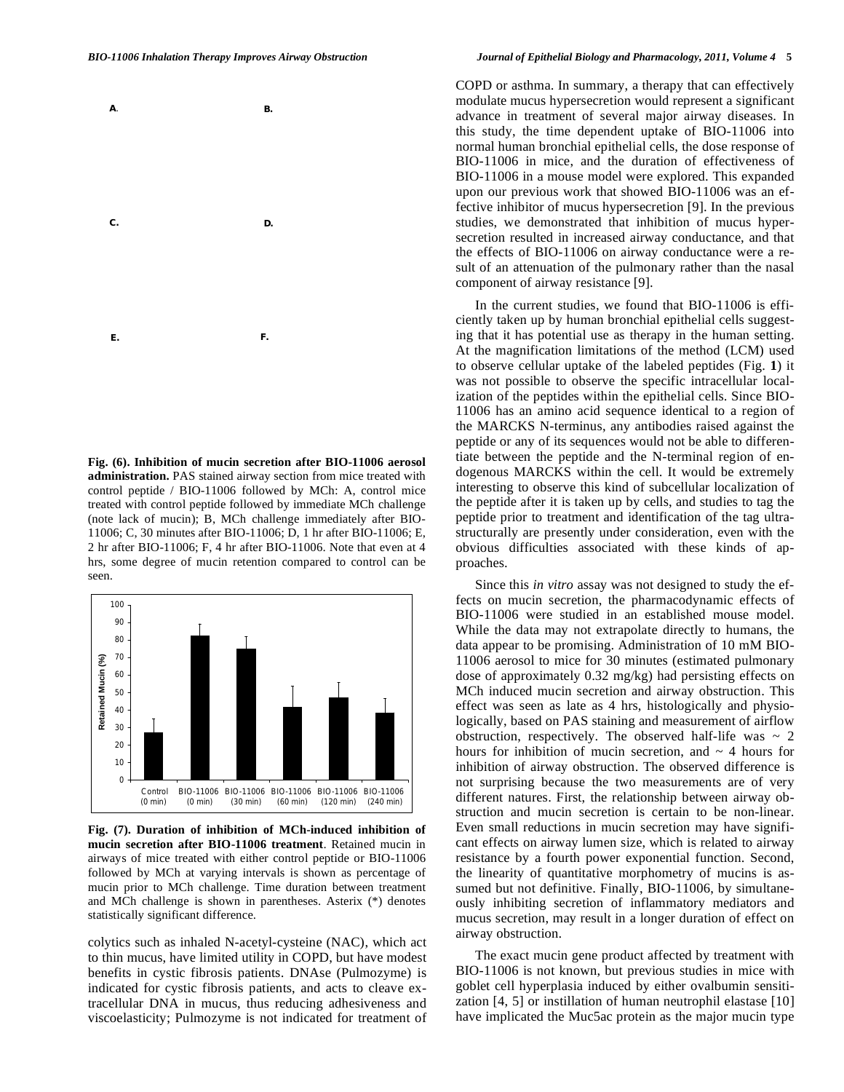

**Fig. (6). Inhibition of mucin secretion after BIO-11006 aerosol administration.** PAS stained airway section from mice treated with control peptide / BIO-11006 followed by MCh: A, control mice treated with control peptide followed by immediate MCh challenge (note lack of mucin); B, MCh challenge immediately after BIO-11006; C, 30 minutes after BIO-11006; D, 1 hr after BIO-11006; E, 2 hr after BIO-11006; F, 4 hr after BIO-11006. Note that even at 4 hrs, some degree of mucin retention compared to control can be seen.



**Fig. (7). Duration of inhibition of MCh-induced inhibition of mucin secretion after BIO-11006 treatment**. Retained mucin in airways of mice treated with either control peptide or BIO-11006 followed by MCh at varying intervals is shown as percentage of mucin prior to MCh challenge. Time duration between treatment and MCh challenge is shown in parentheses. Asterix (\*) denotes statistically significant difference.

colytics such as inhaled N-acetyl-cysteine (NAC), which act to thin mucus, have limited utility in COPD, but have modest benefits in cystic fibrosis patients. DNAse (Pulmozyme) is indicated for cystic fibrosis patients, and acts to cleave extracellular DNA in mucus, thus reducing adhesiveness and viscoelasticity; Pulmozyme is not indicated for treatment of COPD or asthma. In summary, a therapy that can effectively modulate mucus hypersecretion would represent a significant advance in treatment of several major airway diseases. In this study, the time dependent uptake of BIO-11006 into normal human bronchial epithelial cells, the dose response of BIO-11006 in mice, and the duration of effectiveness of BIO-11006 in a mouse model were explored. This expanded upon our previous work that showed BIO-11006 was an effective inhibitor of mucus hypersecretion [9]. In the previous studies, we demonstrated that inhibition of mucus hypersecretion resulted in increased airway conductance, and that the effects of BIO-11006 on airway conductance were a result of an attenuation of the pulmonary rather than the nasal component of airway resistance [9].

In the current studies, we found that BIO-11006 is efficiently taken up by human bronchial epithelial cells suggesting that it has potential use as therapy in the human setting. At the magnification limitations of the method (LCM) used to observe cellular uptake of the labeled peptides (Fig. **1**) it was not possible to observe the specific intracellular localization of the peptides within the epithelial cells. Since BIO-11006 has an amino acid sequence identical to a region of the MARCKS N-terminus, any antibodies raised against the peptide or any of its sequences would not be able to differentiate between the peptide and the N-terminal region of endogenous MARCKS within the cell. It would be extremely interesting to observe this kind of subcellular localization of the peptide after it is taken up by cells, and studies to tag the peptide prior to treatment and identification of the tag ultrastructurally are presently under consideration, even with the obvious difficulties associated with these kinds of approaches.

Since this *in vitro* assay was not designed to study the effects on mucin secretion, the pharmacodynamic effects of BIO-11006 were studied in an established mouse model. While the data may not extrapolate directly to humans, the data appear to be promising. Administration of 10 mM BIO-11006 aerosol to mice for 30 minutes (estimated pulmonary dose of approximately 0.32 mg/kg) had persisting effects on MCh induced mucin secretion and airway obstruction. This effect was seen as late as 4 hrs, histologically and physiologically, based on PAS staining and measurement of airflow obstruction, respectively. The observed half-life was  $\sim 2$ hours for inhibition of mucin secretion, and  $\sim$  4 hours for inhibition of airway obstruction. The observed difference is not surprising because the two measurements are of very different natures. First, the relationship between airway obstruction and mucin secretion is certain to be non-linear. Even small reductions in mucin secretion may have significant effects on airway lumen size, which is related to airway resistance by a fourth power exponential function. Second, the linearity of quantitative morphometry of mucins is assumed but not definitive. Finally, BIO-11006, by simultaneously inhibiting secretion of inflammatory mediators and mucus secretion, may result in a longer duration of effect on airway obstruction.

The exact mucin gene product affected by treatment with BIO-11006 is not known, but previous studies in mice with goblet cell hyperplasia induced by either ovalbumin sensitization [4, 5] or instillation of human neutrophil elastase [10] have implicated the Muc5ac protein as the major mucin type